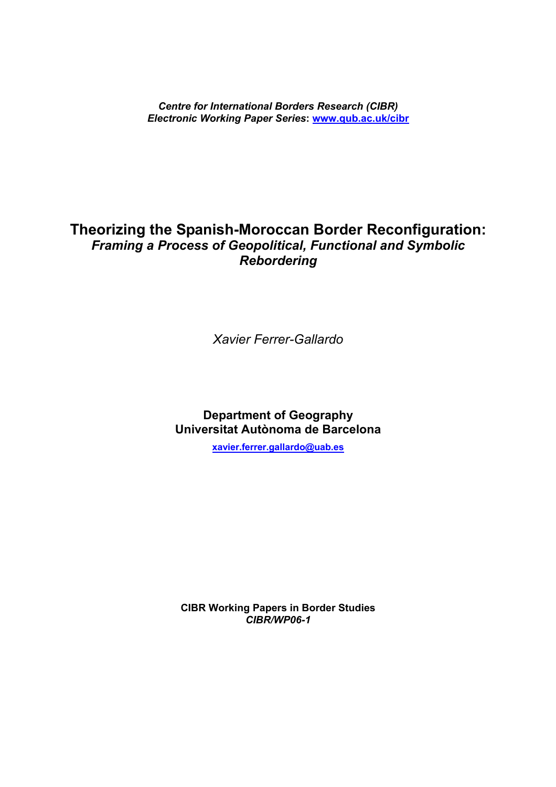*Centre for International Borders Research (CIBR) Electronic Working Paper Series***: [www.qub.ac.uk/cibr](http://www.qub.ac.uk/cibr)** 

# **Theorizing the Spanish-Moroccan Border Reconfiguration:**  *Framing a Process of Geopolitical, Functional and Symbolic Rebordering*

*Xavier Ferrer-Gallardo* 

**Department of Geography Universitat Autònoma de Barcelona** 

**[xavier.ferrer.gallardo@uab.es](mailto:xavier.ferrer.gallardo@uab.es)**

**CIBR Working Papers in Border Studies** *CIBR/WP06-1*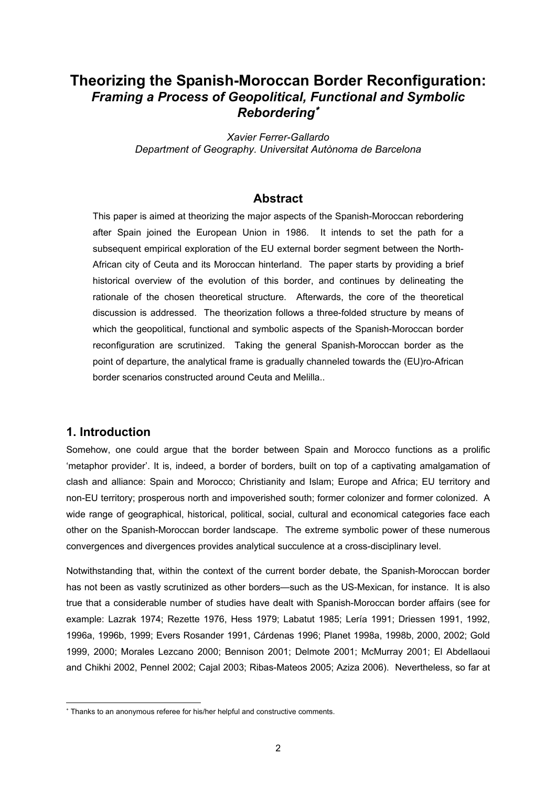# **Theorizing the Spanish-Moroccan Border Reconfiguration:**  *Framing a Process of Geopolitical, Functional and Symbolic Rebordering*<sup>∗</sup>

*Xavier Ferrer-Gallardo Department of Geography. Universitat Autònoma de Barcelona* 

### **Abstract**

This paper is aimed at theorizing the major aspects of the Spanish-Moroccan rebordering after Spain joined the European Union in 1986. It intends to set the path for a subsequent empirical exploration of the EU external border segment between the North-African city of Ceuta and its Moroccan hinterland. The paper starts by providing a brief historical overview of the evolution of this border, and continues by delineating the rationale of the chosen theoretical structure. Afterwards, the core of the theoretical discussion is addressed. The theorization follows a three-folded structure by means of which the geopolitical, functional and symbolic aspects of the Spanish-Moroccan border reconfiguration are scrutinized. Taking the general Spanish-Moroccan border as the point of departure, the analytical frame is gradually channeled towards the (EU)ro-African border scenarios constructed around Ceuta and Melilla..

### **1. Introduction**

l

Somehow, one could argue that the border between Spain and Morocco functions as a prolific 'metaphor provider'. It is, indeed, a border of borders, built on top of a captivating amalgamation of clash and alliance: Spain and Morocco; Christianity and Islam; Europe and Africa; EU territory and non-EU territory; prosperous north and impoverished south; former colonizer and former colonized. A wide range of geographical, historical, political, social, cultural and economical categories face each other on the Spanish-Moroccan border landscape. The extreme symbolic power of these numerous convergences and divergences provides analytical succulence at a cross-disciplinary level.

Notwithstanding that, within the context of the current border debate, the Spanish-Moroccan border has not been as vastly scrutinized as other borders—such as the US-Mexican, for instance. It is also true that a considerable number of studies have dealt with Spanish-Moroccan border affairs (see for example: Lazrak 1974; Rezette 1976, Hess 1979; Labatut 1985; Lería 1991; Driessen 1991, 1992, 1996a, 1996b, 1999; Evers Rosander 1991, Cárdenas 1996; Planet 1998a, 1998b, 2000, 2002; Gold 1999, 2000; Morales Lezcano 2000; Bennison 2001; Delmote 2001; McMurray 2001; El Abdellaoui and Chikhi 2002, Pennel 2002; Cajal 2003; Ribas-Mateos 2005; Aziza 2006). Nevertheless, so far at

<span id="page-1-0"></span><sup>∗</sup> Thanks to an anonymous referee for his/her helpful and constructive comments.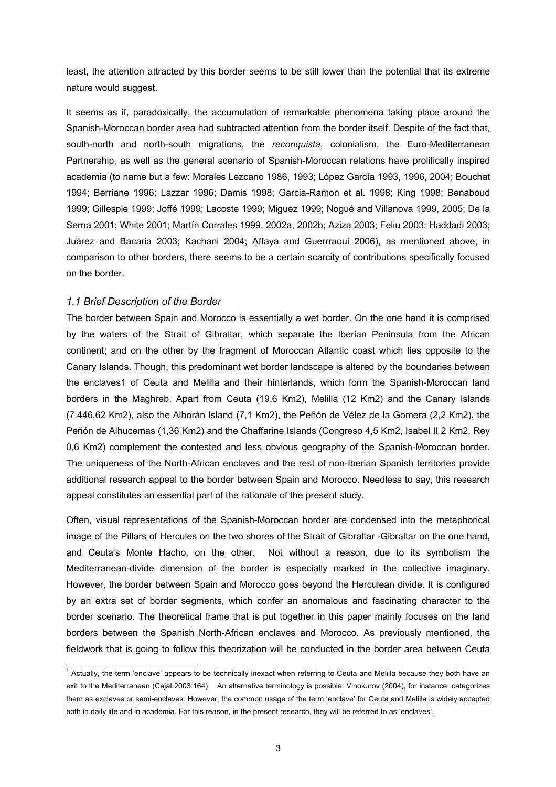least, the attention attracted by this border seems to be still lower than the potential that its extreme nature would suggest.

It seems as if, paradoxically, the accumulation of remarkable phenomena taking place around the Spanish-Moroccan border area had subtracted attention from the border itself. Despite of the fact that, south-north and north-south migrations, the *reconquista*, colonialism, the Euro-Mediterranean Partnership, as well as the general scenario of Spanish-Moroccan relations have prolifically inspired academia (to name but a few: Morales Lezcano 1986, 1993; López García 1993, 1996, 2004; Bouchat 1994; Berriane 1996; Lazzar 1996; Damis 1998; Garcia-Ramon et al. 1998; King 1998; Benaboud 1999; Gillespie 1999; Joffé 1999; Lacoste 1999; Miguez 1999; Nogué and Villanova 1999, 2005; De la Serna 2001; White 2001; Martín Corrales 1999, 2002a, 2002b; Aziza 2003; Feliu 2003; Haddadi 2003; Juárez and Bacaria 2003; Kachani 2004; Affaya and Guerrraoui 2006), as mentioned above, in comparison to other borders, there seems to be a certain scarcity of contributions specifically focused on the border.

#### *1.1 Brief Description of the Border*

The border between Spain and Morocco is essentially a wet border. On the one hand it is comprised by the waters of the Strait of Gibraltar, which separate the Iberian Peninsula from the African continent; and on the other by the fragment of Moroccan Atlantic coast which lies opposite to the Canary Islands. Though, this predominant wet border landscape is altered by the boundaries between the enclaves[1](#page-2-0) of Ceuta and Melilla and their hinterlands, which form the Spanish-Moroccan land borders in the Maghreb. Apart from Ceuta (19,6 Km2), Melilla (12 Km2) and the Canary Islands (7.446,62 Km2), also the Alborán Island (7,1 Km2), the Peñón de Vélez de la Gomera (2,2 Km2), the Peñón de Alhucemas (1,36 Km2) and the Chaffarine Islands (Congreso 4,5 Km2, Isabel II 2 Km2, Rey 0,6 Km2) complement the contested and less obvious geography of the Spanish-Moroccan border. The uniqueness of the North-African enclaves and the rest of non-Iberian Spanish territories provide additional research appeal to the border between Spain and Morocco. Needless to say, this research appeal constitutes an essential part of the rationale of the present study.

Often, visual representations of the Spanish-Moroccan border are condensed into the metaphorical image of the Pillars of Hercules on the two shores of the Strait of Gibraltar -Gibraltar on the one hand, and Ceuta's Monte Hacho, on the other. Not without a reason, due to its symbolism the Mediterranean-divide dimension of the border is especially marked in the collective imaginary. However, the border between Spain and Morocco goes beyond the Herculean divide. It is configured by an extra set of border segments, which confer an anomalous and fascinating character to the border scenario. The theoretical frame that is put together in this paper mainly focuses on the land borders between the Spanish North-African enclaves and Morocco. As previously mentioned, the fieldwork that is going to follow this theorization will be conducted in the border area between Ceuta

<span id="page-2-0"></span> $\frac{1}{1}$  $<sup>1</sup>$  Actually, the term 'enclave' appears to be technically inexact when referring to Ceuta and Melilla because they both have an</sup> exit to the Mediterranean (Cajal 2003:164). An alternative terminology is possible. Vinokurov (2004), for instance, categorizes them as exclaves or semi-enclaves. However, the common usage of the term 'enclave' for Ceuta and Melilla is widely accepted both in daily life and in academia. For this reason, in the present research, they will be referred to as 'enclaves'.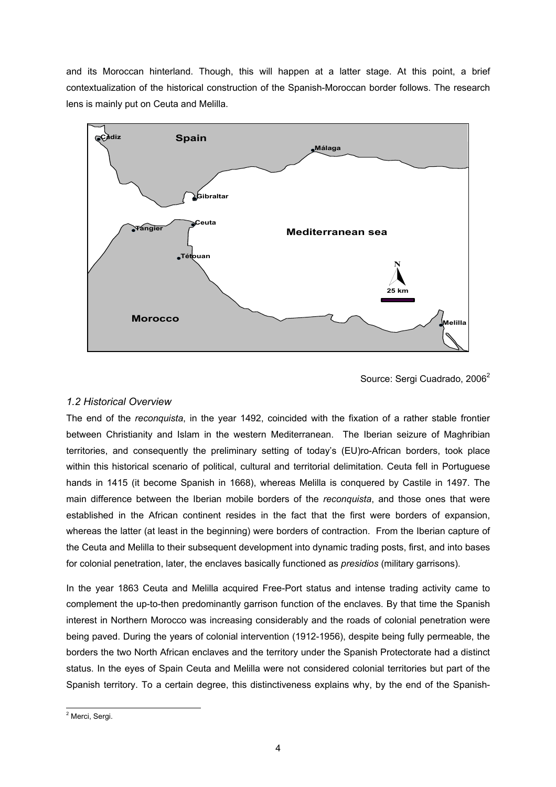and its Moroccan hinterland. Though, this will happen at a latter stage. At this point, a brief contextualization of the historical construction of the Spanish-Moroccan border follows. The research lens is mainly put on Ceuta and Melilla.



Source: Sergi Cuadrado, [2](#page-3-0)006<sup>2</sup>

# *1.2 Historical Overview*

The end of the *reconquista*, in the year 1492, coincided with the fixation of a rather stable frontier between Christianity and Islam in the western Mediterranean. The Iberian seizure of Maghribian territories, and consequently the preliminary setting of today's (EU)ro-African borders, took place within this historical scenario of political, cultural and territorial delimitation. Ceuta fell in Portuguese hands in 1415 (it become Spanish in 1668), whereas Melilla is conquered by Castile in 1497. The main difference between the Iberian mobile borders of the *reconquista*, and those ones that were established in the African continent resides in the fact that the first were borders of expansion, whereas the latter (at least in the beginning) were borders of contraction. From the Iberian capture of the Ceuta and Melilla to their subsequent development into dynamic trading posts, first, and into bases for colonial penetration, later, the enclaves basically functioned as *presidios* (military garrisons).

In the year 1863 Ceuta and Melilla acquired Free-Port status and intense trading activity came to complement the up-to-then predominantly garrison function of the enclaves. By that time the Spanish interest in Northern Morocco was increasing considerably and the roads of colonial penetration were being paved. During the years of colonial intervention (1912-1956), despite being fully permeable, the borders the two North African enclaves and the territory under the Spanish Protectorate had a distinct status. In the eyes of Spain Ceuta and Melilla were not considered colonial territories but part of the Spanish territory. To a certain degree, this distinctiveness explains why, by the end of the Spanish-

<span id="page-3-0"></span> $\frac{1}{2}$ <sup>2</sup> Merci, Sergi.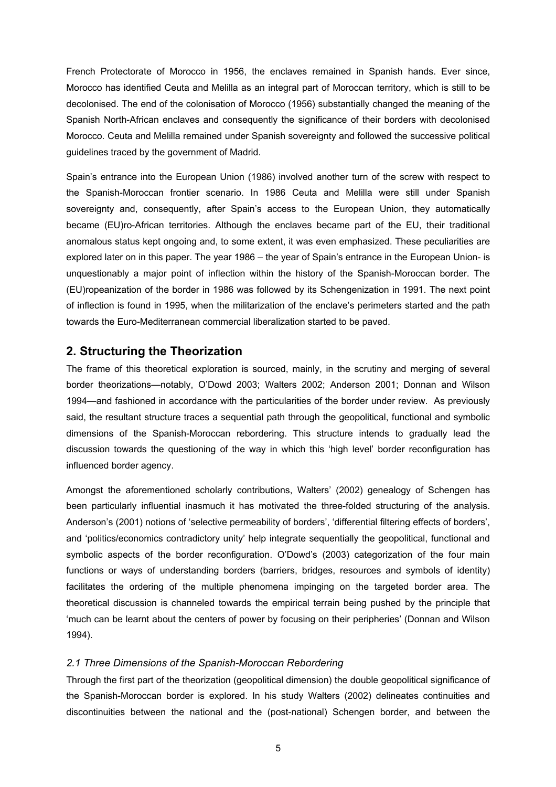French Protectorate of Morocco in 1956, the enclaves remained in Spanish hands. Ever since, Morocco has identified Ceuta and Melilla as an integral part of Moroccan territory, which is still to be decolonised. The end of the colonisation of Morocco (1956) substantially changed the meaning of the Spanish North-African enclaves and consequently the significance of their borders with decolonised Morocco. Ceuta and Melilla remained under Spanish sovereignty and followed the successive political guidelines traced by the government of Madrid.

Spain's entrance into the European Union (1986) involved another turn of the screw with respect to the Spanish-Moroccan frontier scenario. In 1986 Ceuta and Melilla were still under Spanish sovereignty and, consequently, after Spain's access to the European Union, they automatically became (EU)ro-African territories. Although the enclaves became part of the EU, their traditional anomalous status kept ongoing and, to some extent, it was even emphasized. These peculiarities are explored later on in this paper. The year 1986 – the year of Spain's entrance in the European Union- is unquestionably a major point of inflection within the history of the Spanish-Moroccan border. The (EU)ropeanization of the border in 1986 was followed by its Schengenization in 1991. The next point of inflection is found in 1995, when the militarization of the enclave's perimeters started and the path towards the Euro-Mediterranean commercial liberalization started to be paved.

# **2. Structuring the Theorization**

The frame of this theoretical exploration is sourced, mainly, in the scrutiny and merging of several border theorizations—notably, O'Dowd 2003; Walters 2002; Anderson 2001; Donnan and Wilson 1994—and fashioned in accordance with the particularities of the border under review. As previously said, the resultant structure traces a sequential path through the geopolitical, functional and symbolic dimensions of the Spanish-Moroccan rebordering. This structure intends to gradually lead the discussion towards the questioning of the way in which this 'high level' border reconfiguration has influenced border agency.

Amongst the aforementioned scholarly contributions, Walters' (2002) genealogy of Schengen has been particularly influential inasmuch it has motivated the three-folded structuring of the analysis. Anderson's (2001) notions of 'selective permeability of borders', 'differential filtering effects of borders', and 'politics/economics contradictory unity' help integrate sequentially the geopolitical, functional and symbolic aspects of the border reconfiguration. O'Dowd's (2003) categorization of the four main functions or ways of understanding borders (barriers, bridges, resources and symbols of identity) facilitates the ordering of the multiple phenomena impinging on the targeted border area. The theoretical discussion is channeled towards the empirical terrain being pushed by the principle that 'much can be learnt about the centers of power by focusing on their peripheries' (Donnan and Wilson 1994).

#### *2.1 Three Dimensions of the Spanish-Moroccan Rebordering*

Through the first part of the theorization (geopolitical dimension) the double geopolitical significance of the Spanish-Moroccan border is explored. In his study Walters (2002) delineates continuities and discontinuities between the national and the (post-national) Schengen border, and between the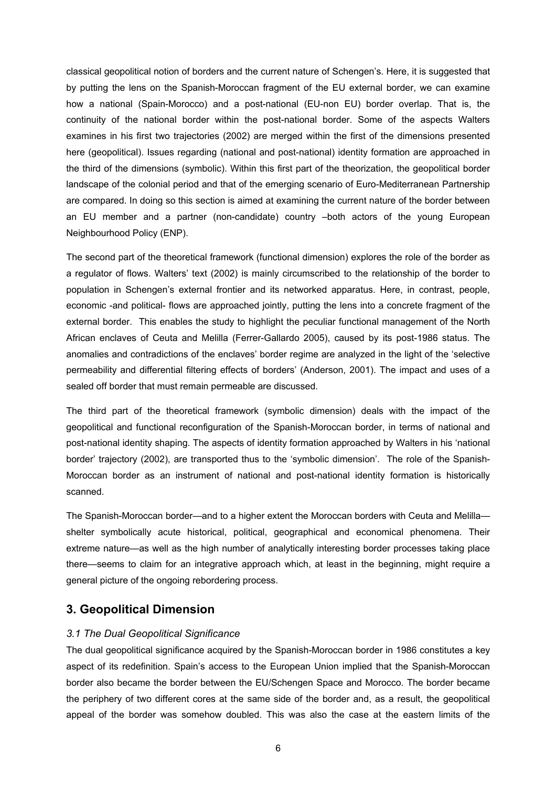classical geopolitical notion of borders and the current nature of Schengen's. Here, it is suggested that by putting the lens on the Spanish-Moroccan fragment of the EU external border, we can examine how a national (Spain-Morocco) and a post-national (EU-non EU) border overlap. That is, the continuity of the national border within the post-national border. Some of the aspects Walters examines in his first two trajectories (2002) are merged within the first of the dimensions presented here (geopolitical). Issues regarding (national and post-national) identity formation are approached in the third of the dimensions (symbolic). Within this first part of the theorization, the geopolitical border landscape of the colonial period and that of the emerging scenario of Euro-Mediterranean Partnership are compared. In doing so this section is aimed at examining the current nature of the border between an EU member and a partner (non-candidate) country –both actors of the young European Neighbourhood Policy (ENP).

The second part of the theoretical framework (functional dimension) explores the role of the border as a regulator of flows. Walters' text (2002) is mainly circumscribed to the relationship of the border to population in Schengen's external frontier and its networked apparatus. Here, in contrast, people, economic -and political- flows are approached jointly, putting the lens into a concrete fragment of the external border. This enables the study to highlight the peculiar functional management of the North African enclaves of Ceuta and Melilla (Ferrer-Gallardo 2005), caused by its post-1986 status. The anomalies and contradictions of the enclaves' border regime are analyzed in the light of the 'selective permeability and differential filtering effects of borders' (Anderson, 2001). The impact and uses of a sealed off border that must remain permeable are discussed.

The third part of the theoretical framework (symbolic dimension) deals with the impact of the geopolitical and functional reconfiguration of the Spanish-Moroccan border, in terms of national and post-national identity shaping. The aspects of identity formation approached by Walters in his 'national border' trajectory (2002), are transported thus to the 'symbolic dimension'. The role of the Spanish-Moroccan border as an instrument of national and post-national identity formation is historically scanned.

The Spanish-Moroccan border—and to a higher extent the Moroccan borders with Ceuta and Melilla shelter symbolically acute historical, political, geographical and economical phenomena. Their extreme nature—as well as the high number of analytically interesting border processes taking place there—seems to claim for an integrative approach which, at least in the beginning, might require a general picture of the ongoing rebordering process.

# **3. Geopolitical Dimension**

#### *3.1 The Dual Geopolitical Significance*

The dual geopolitical significance acquired by the Spanish-Moroccan border in 1986 constitutes a key aspect of its redefinition. Spain's access to the European Union implied that the Spanish-Moroccan border also became the border between the EU/Schengen Space and Morocco. The border became the periphery of two different cores at the same side of the border and, as a result, the geopolitical appeal of the border was somehow doubled. This was also the case at the eastern limits of the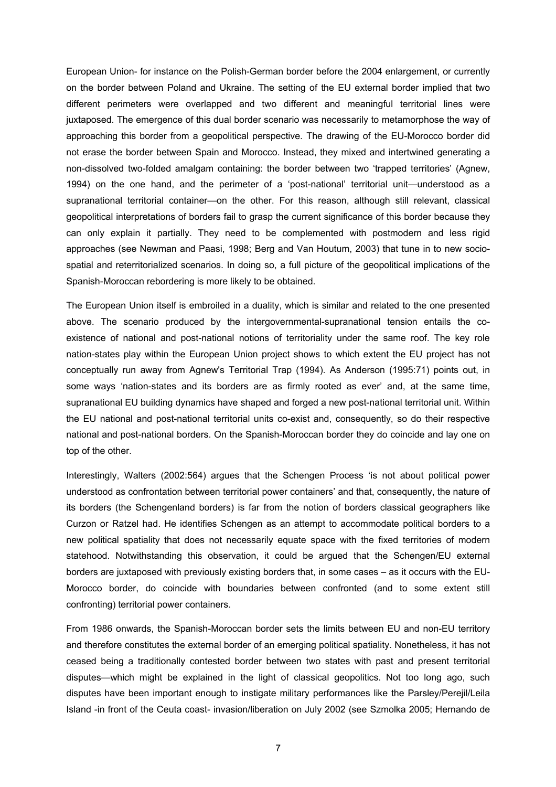European Union- for instance on the Polish-German border before the 2004 enlargement, or currently on the border between Poland and Ukraine. The setting of the EU external border implied that two different perimeters were overlapped and two different and meaningful territorial lines were juxtaposed. The emergence of this dual border scenario was necessarily to metamorphose the way of approaching this border from a geopolitical perspective. The drawing of the EU-Morocco border did not erase the border between Spain and Morocco. Instead, they mixed and intertwined generating a non-dissolved two-folded amalgam containing: the border between two 'trapped territories' (Agnew, 1994) on the one hand, and the perimeter of a 'post-national' territorial unit—understood as a supranational territorial container—on the other. For this reason, although still relevant, classical geopolitical interpretations of borders fail to grasp the current significance of this border because they can only explain it partially. They need to be complemented with postmodern and less rigid approaches (see Newman and Paasi, 1998; Berg and Van Houtum, 2003) that tune in to new sociospatial and reterritorialized scenarios. In doing so, a full picture of the geopolitical implications of the Spanish-Moroccan rebordering is more likely to be obtained.

The European Union itself is embroiled in a duality, which is similar and related to the one presented above. The scenario produced by the intergovernmental-supranational tension entails the coexistence of national and post-national notions of territoriality under the same roof. The key role nation-states play within the European Union project shows to which extent the EU project has not conceptually run away from Agnew's Territorial Trap (1994). As Anderson (1995:71) points out, in some ways 'nation-states and its borders are as firmly rooted as ever' and, at the same time, supranational EU building dynamics have shaped and forged a new post-national territorial unit. Within the EU national and post-national territorial units co-exist and, consequently, so do their respective national and post-national borders. On the Spanish-Moroccan border they do coincide and lay one on top of the other.

Interestingly, Walters (2002:564) argues that the Schengen Process 'is not about political power understood as confrontation between territorial power containers' and that, consequently, the nature of its borders (the Schengenland borders) is far from the notion of borders classical geographers like Curzon or Ratzel had. He identifies Schengen as an attempt to accommodate political borders to a new political spatiality that does not necessarily equate space with the fixed territories of modern statehood. Notwithstanding this observation, it could be argued that the Schengen/EU external borders are juxtaposed with previously existing borders that, in some cases – as it occurs with the EU-Morocco border, do coincide with boundaries between confronted (and to some extent still confronting) territorial power containers.

From 1986 onwards, the Spanish-Moroccan border sets the limits between EU and non-EU territory and therefore constitutes the external border of an emerging political spatiality. Nonetheless, it has not ceased being a traditionally contested border between two states with past and present territorial disputes—which might be explained in the light of classical geopolitics. Not too long ago, such disputes have been important enough to instigate military performances like the Parsley/Perejil/Leila Island -in front of the Ceuta coast- invasion/liberation on July 2002 (see Szmolka 2005; Hernando de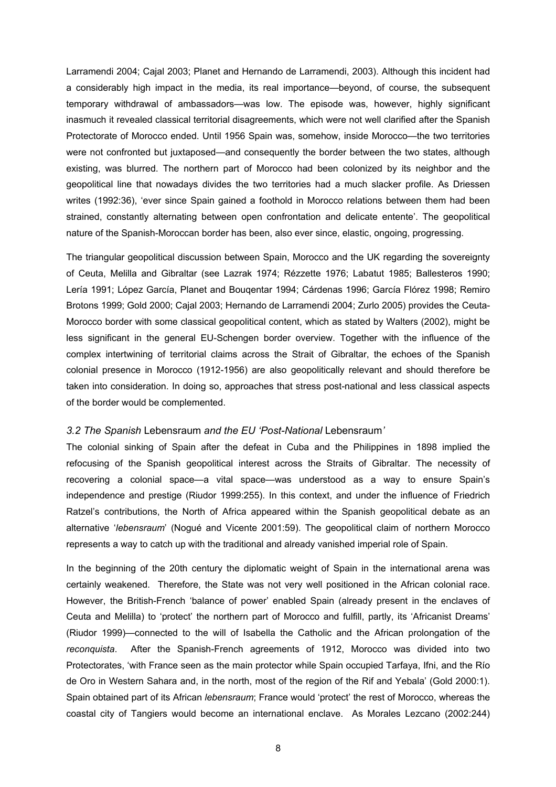Larramendi 2004; Cajal 2003; Planet and Hernando de Larramendi, 2003). Although this incident had a considerably high impact in the media, its real importance—beyond, of course, the subsequent temporary withdrawal of ambassadors—was low. The episode was, however, highly significant inasmuch it revealed classical territorial disagreements, which were not well clarified after the Spanish Protectorate of Morocco ended. Until 1956 Spain was, somehow, inside Morocco—the two territories were not confronted but juxtaposed—and consequently the border between the two states, although existing, was blurred. The northern part of Morocco had been colonized by its neighbor and the geopolitical line that nowadays divides the two territories had a much slacker profile. As Driessen writes (1992:36), 'ever since Spain gained a foothold in Morocco relations between them had been strained, constantly alternating between open confrontation and delicate entente'. The geopolitical nature of the Spanish-Moroccan border has been, also ever since, elastic, ongoing, progressing.

The triangular geopolitical discussion between Spain, Morocco and the UK regarding the sovereignty of Ceuta, Melilla and Gibraltar (see Lazrak 1974; Rézzette 1976; Labatut 1985; Ballesteros 1990; Lería 1991; López García, Planet and Bouqentar 1994; Cárdenas 1996; García Flórez 1998; Remiro Brotons 1999; Gold 2000; Cajal 2003; Hernando de Larramendi 2004; Zurlo 2005) provides the Ceuta-Morocco border with some classical geopolitical content, which as stated by Walters (2002), might be less significant in the general EU-Schengen border overview. Together with the influence of the complex intertwining of territorial claims across the Strait of Gibraltar, the echoes of the Spanish colonial presence in Morocco (1912-1956) are also geopolitically relevant and should therefore be taken into consideration. In doing so, approaches that stress post-national and less classical aspects of the border would be complemented.

#### *3.2 The Spanish* Lebensraum *and the EU 'Post-National* Lebensraum*'*

The colonial sinking of Spain after the defeat in Cuba and the Philippines in 1898 implied the refocusing of the Spanish geopolitical interest across the Straits of Gibraltar. The necessity of recovering a colonial space—a vital space—was understood as a way to ensure Spain's independence and prestige (Riudor 1999:255). In this context, and under the influence of Friedrich Ratzel's contributions, the North of Africa appeared within the Spanish geopolitical debate as an alternative '*lebensraum*' (Nogué and Vicente 2001:59). The geopolitical claim of northern Morocco represents a way to catch up with the traditional and already vanished imperial role of Spain.

In the beginning of the 20th century the diplomatic weight of Spain in the international arena was certainly weakened. Therefore, the State was not very well positioned in the African colonial race. However, the British-French 'balance of power' enabled Spain (already present in the enclaves of Ceuta and Melilla) to 'protect' the northern part of Morocco and fulfill, partly, its 'Africanist Dreams' (Riudor 1999)—connected to the will of Isabella the Catholic and the African prolongation of the *reconquista*. After the Spanish-French agreements of 1912, Morocco was divided into two Protectorates, 'with France seen as the main protector while Spain occupied Tarfaya, Ifni, and the Río de Oro in Western Sahara and, in the north, most of the region of the Rif and Yebala' (Gold 2000:1). Spain obtained part of its African *lebensraum*; France would 'protect' the rest of Morocco, whereas the coastal city of Tangiers would become an international enclave. As Morales Lezcano (2002:244)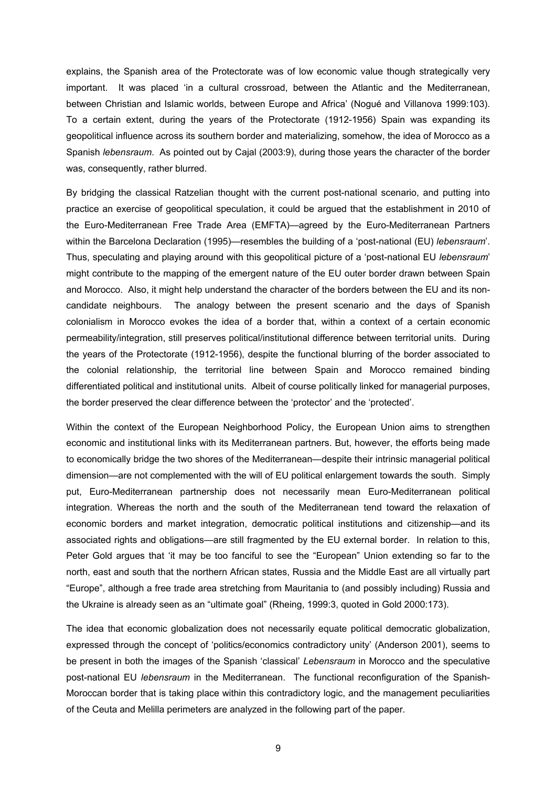explains, the Spanish area of the Protectorate was of low economic value though strategically very important. It was placed 'in a cultural crossroad, between the Atlantic and the Mediterranean, between Christian and Islamic worlds, between Europe and Africa' (Nogué and Villanova 1999:103). To a certain extent, during the years of the Protectorate (1912-1956) Spain was expanding its geopolitical influence across its southern border and materializing, somehow, the idea of Morocco as a Spanish *lebensraum*. As pointed out by Cajal (2003:9), during those years the character of the border was, consequently, rather blurred.

By bridging the classical Ratzelian thought with the current post-national scenario, and putting into practice an exercise of geopolitical speculation, it could be argued that the establishment in 2010 of the Euro-Mediterranean Free Trade Area (EMFTA)—agreed by the Euro-Mediterranean Partners within the Barcelona Declaration (1995)—resembles the building of a 'post-national (EU) *lebensraum*'. Thus, speculating and playing around with this geopolitical picture of a 'post-national EU *lebensraum*' might contribute to the mapping of the emergent nature of the EU outer border drawn between Spain and Morocco. Also, it might help understand the character of the borders between the EU and its noncandidate neighbours. The analogy between the present scenario and the days of Spanish colonialism in Morocco evokes the idea of a border that, within a context of a certain economic permeability/integration, still preserves political/institutional difference between territorial units. During the years of the Protectorate (1912-1956), despite the functional blurring of the border associated to the colonial relationship, the territorial line between Spain and Morocco remained binding differentiated political and institutional units. Albeit of course politically linked for managerial purposes, the border preserved the clear difference between the 'protector' and the 'protected'.

Within the context of the European Neighborhood Policy, the European Union aims to strengthen economic and institutional links with its Mediterranean partners. But, however, the efforts being made to economically bridge the two shores of the Mediterranean—despite their intrinsic managerial political dimension—are not complemented with the will of EU political enlargement towards the south. Simply put, Euro-Mediterranean partnership does not necessarily mean Euro-Mediterranean political integration. Whereas the north and the south of the Mediterranean tend toward the relaxation of economic borders and market integration, democratic political institutions and citizenship—and its associated rights and obligations—are still fragmented by the EU external border. In relation to this, Peter Gold argues that 'it may be too fanciful to see the "European" Union extending so far to the north, east and south that the northern African states, Russia and the Middle East are all virtually part "Europe", although a free trade area stretching from Mauritania to (and possibly including) Russia and the Ukraine is already seen as an "ultimate goal" (Rheing, 1999:3, quoted in Gold 2000:173).

The idea that economic globalization does not necessarily equate political democratic globalization, expressed through the concept of 'politics/economics contradictory unity' (Anderson 2001), seems to be present in both the images of the Spanish 'classical' *Lebensraum* in Morocco and the speculative post-national EU *lebensraum* in the Mediterranean. The functional reconfiguration of the Spanish-Moroccan border that is taking place within this contradictory logic, and the management peculiarities of the Ceuta and Melilla perimeters are analyzed in the following part of the paper.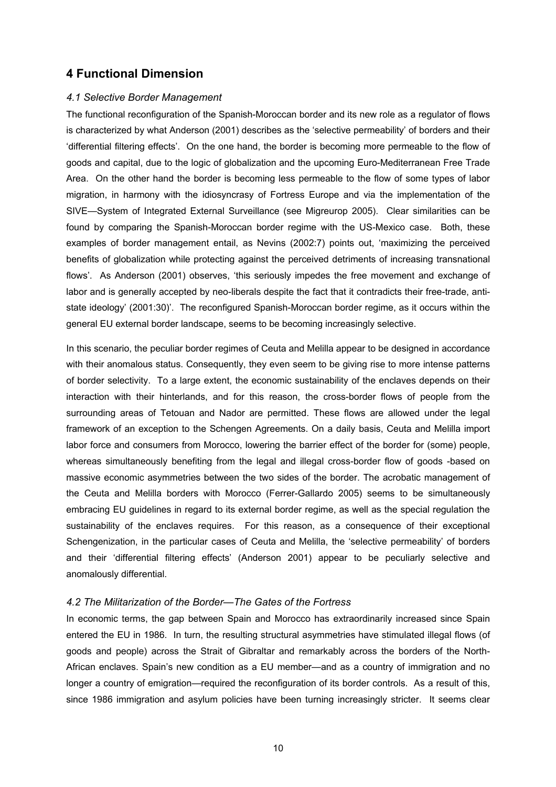# **4 Functional Dimension**

#### *4.1 Selective Border Management*

The functional reconfiguration of the Spanish-Moroccan border and its new role as a regulator of flows is characterized by what Anderson (2001) describes as the 'selective permeability' of borders and their 'differential filtering effects'. On the one hand, the border is becoming more permeable to the flow of goods and capital, due to the logic of globalization and the upcoming Euro-Mediterranean Free Trade Area. On the other hand the border is becoming less permeable to the flow of some types of labor migration, in harmony with the idiosyncrasy of Fortress Europe and via the implementation of the SIVE—System of Integrated External Surveillance (see Migreurop 2005). Clear similarities can be found by comparing the Spanish-Moroccan border regime with the US-Mexico case. Both, these examples of border management entail, as Nevins (2002:7) points out, 'maximizing the perceived benefits of globalization while protecting against the perceived detriments of increasing transnational flows'. As Anderson (2001) observes, 'this seriously impedes the free movement and exchange of labor and is generally accepted by neo-liberals despite the fact that it contradicts their free-trade, antistate ideology' (2001:30)'. The reconfigured Spanish-Moroccan border regime, as it occurs within the general EU external border landscape, seems to be becoming increasingly selective.

In this scenario, the peculiar border regimes of Ceuta and Melilla appear to be designed in accordance with their anomalous status. Consequently, they even seem to be giving rise to more intense patterns of border selectivity. To a large extent, the economic sustainability of the enclaves depends on their interaction with their hinterlands, and for this reason, the cross-border flows of people from the surrounding areas of Tetouan and Nador are permitted. These flows are allowed under the legal framework of an exception to the Schengen Agreements. On a daily basis, Ceuta and Melilla import labor force and consumers from Morocco, lowering the barrier effect of the border for (some) people, whereas simultaneously benefiting from the legal and illegal cross-border flow of goods -based on massive economic asymmetries between the two sides of the border. The acrobatic management of the Ceuta and Melilla borders with Morocco (Ferrer-Gallardo 2005) seems to be simultaneously embracing EU guidelines in regard to its external border regime, as well as the special regulation the sustainability of the enclaves requires. For this reason, as a consequence of their exceptional Schengenization, in the particular cases of Ceuta and Melilla, the 'selective permeability' of borders and their 'differential filtering effects' (Anderson 2001) appear to be peculiarly selective and anomalously differential.

#### *4.2 The Militarization of the Border—The Gates of the Fortress*

In economic terms, the gap between Spain and Morocco has extraordinarily increased since Spain entered the EU in 1986. In turn, the resulting structural asymmetries have stimulated illegal flows (of goods and people) across the Strait of Gibraltar and remarkably across the borders of the North-African enclaves. Spain's new condition as a EU member—and as a country of immigration and no longer a country of emigration—required the reconfiguration of its border controls. As a result of this, since 1986 immigration and asylum policies have been turning increasingly stricter. It seems clear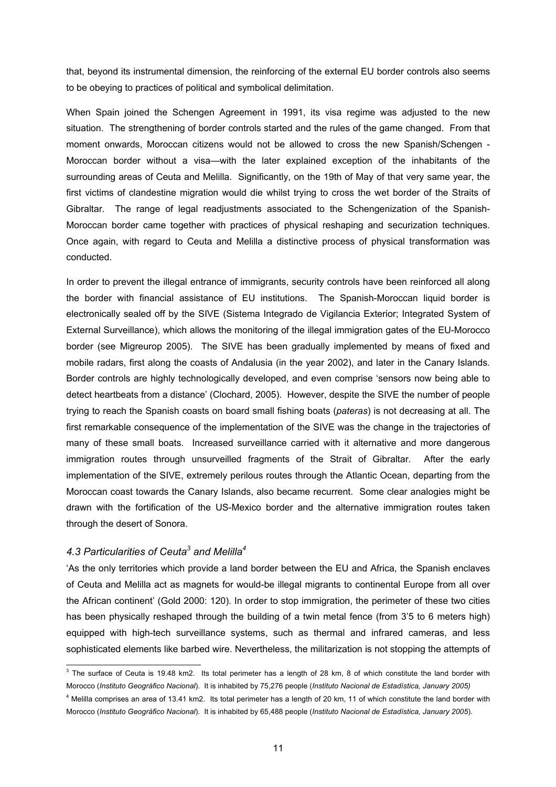that, beyond its instrumental dimension, the reinforcing of the external EU border controls also seems to be obeying to practices of political and symbolical delimitation.

When Spain joined the Schengen Agreement in 1991, its visa regime was adjusted to the new situation. The strengthening of border controls started and the rules of the game changed. From that moment onwards, Moroccan citizens would not be allowed to cross the new Spanish/Schengen - Moroccan border without a visa—with the later explained exception of the inhabitants of the surrounding areas of Ceuta and Melilla. Significantly, on the 19th of May of that very same year, the first victims of clandestine migration would die whilst trying to cross the wet border of the Straits of Gibraltar. The range of legal readjustments associated to the Schengenization of the Spanish-Moroccan border came together with practices of physical reshaping and securization techniques. Once again, with regard to Ceuta and Melilla a distinctive process of physical transformation was conducted.

In order to prevent the illegal entrance of immigrants, security controls have been reinforced all along the border with financial assistance of EU institutions. The Spanish-Moroccan liquid border is electronically sealed off by the SIVE (Sistema Integrado de Vigilancia Exterior; Integrated System of External Surveillance), which allows the monitoring of the illegal immigration gates of the EU-Morocco border (see Migreurop 2005). The SIVE has been gradually implemented by means of fixed and mobile radars, first along the coasts of Andalusia (in the year 2002), and later in the Canary Islands. Border controls are highly technologically developed, and even comprise 'sensors now being able to detect heartbeats from a distance' (Clochard, 2005). However, despite the SIVE the number of people trying to reach the Spanish coasts on board small fishing boats (*pateras*) is not decreasing at all. The first remarkable consequence of the implementation of the SIVE was the change in the trajectories of many of these small boats. Increased surveillance carried with it alternative and more dangerous immigration routes through unsurveilled fragments of the Strait of Gibraltar. After the early implementation of the SIVE, extremely perilous routes through the Atlantic Ocean, departing from the Moroccan coast towards the Canary Islands, also became recurrent. Some clear analogies might be drawn with the fortification of the US-Mexico border and the alternative immigration routes taken through the desert of Sonora.

# *4.3 Particularities of Ceuta<sup>3</sup> and Melilla<sup>4</sup>*

'As the only territories which provide a land border between the EU and Africa, the Spanish enclaves of Ceuta and Melilla act as magnets for would-be illegal migrants to continental Europe from all over the African continent' (Gold 2000: 120). In order to stop immigration, the perimeter of these two cities has been physically reshaped through the building of a twin metal fence (from 3'5 to 6 meters high) equipped with high-tech surveillance systems, such as thermal and infrared cameras, and less sophisticated elements like barbed wire. Nevertheless, the militarization is not stopping the attempts of

<span id="page-10-0"></span><sup>-&</sup>lt;br>3 <sup>3</sup> The surface of Ceuta is 19.48 km2. Its total perimeter has a length of 28 km, 8 of which constitute the land border with Morocco (*Instituto Geográfico Nacional*). It is inhabited by 75,276 people (*Instituto Nacional de Estadística, January 2005)*

<sup>&</sup>lt;sup>4</sup> Melilla comprises an area of 13.41 km2. Its total perimeter has a length of 20 km, 11 of which constitute the land border with Morocco (*Instituto Geográfico Nacional*). It is inhabited by 65,488 people (*Instituto Nacional de Estadística, January 2005*).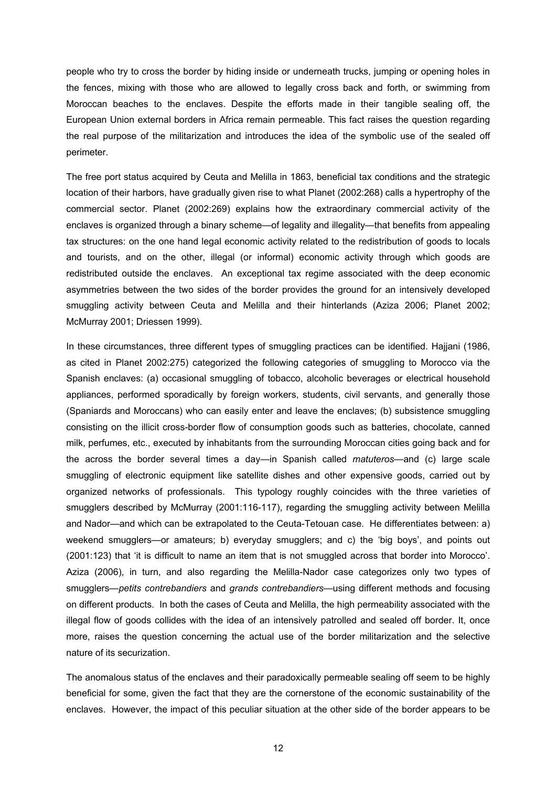people who try to cross the border by hiding inside or underneath trucks, jumping or opening holes in the fences, mixing with those who are allowed to legally cross back and forth, or swimming from Moroccan beaches to the enclaves. Despite the efforts made in their tangible sealing off, the European Union external borders in Africa remain permeable. This fact raises the question regarding the real purpose of the militarization and introduces the idea of the symbolic use of the sealed off perimeter.

The free port status acquired by Ceuta and Melilla in 1863, beneficial tax conditions and the strategic location of their harbors, have gradually given rise to what Planet (2002:268) calls a hypertrophy of the commercial sector. Planet (2002:269) explains how the extraordinary commercial activity of the enclaves is organized through a binary scheme—of legality and illegality—that benefits from appealing tax structures: on the one hand legal economic activity related to the redistribution of goods to locals and tourists, and on the other, illegal (or informal) economic activity through which goods are redistributed outside the enclaves. An exceptional tax regime associated with the deep economic asymmetries between the two sides of the border provides the ground for an intensively developed smuggling activity between Ceuta and Melilla and their hinterlands (Aziza 2006; Planet 2002; McMurray 2001; Driessen 1999).

In these circumstances, three different types of smuggling practices can be identified. Hajjani (1986, as cited in Planet 2002:275) categorized the following categories of smuggling to Morocco via the Spanish enclaves: (a) occasional smuggling of tobacco, alcoholic beverages or electrical household appliances, performed sporadically by foreign workers, students, civil servants, and generally those (Spaniards and Moroccans) who can easily enter and leave the enclaves; (b) subsistence smuggling consisting on the illicit cross-border flow of consumption goods such as batteries, chocolate, canned milk, perfumes, etc., executed by inhabitants from the surrounding Moroccan cities going back and for the across the border several times a day—in Spanish called *matuteros*—and (c) large scale smuggling of electronic equipment like satellite dishes and other expensive goods, carried out by organized networks of professionals. This typology roughly coincides with the three varieties of smugglers described by McMurray (2001:116-117), regarding the smuggling activity between Melilla and Nador—and which can be extrapolated to the Ceuta-Tetouan case. He differentiates between: a) weekend smugglers—or amateurs; b) everyday smugglers; and c) the 'big boys', and points out (2001:123) that 'it is difficult to name an item that is not smuggled across that border into Morocco'. Aziza (2006), in turn, and also regarding the Melilla-Nador case categorizes only two types of smugglers—*petits contrebandiers* and *grands contrebandiers*—using different methods and focusing on different products. In both the cases of Ceuta and Melilla, the high permeability associated with the illegal flow of goods collides with the idea of an intensively patrolled and sealed off border. It, once more, raises the question concerning the actual use of the border militarization and the selective nature of its securization.

The anomalous status of the enclaves and their paradoxically permeable sealing off seem to be highly beneficial for some, given the fact that they are the cornerstone of the economic sustainability of the enclaves. However, the impact of this peculiar situation at the other side of the border appears to be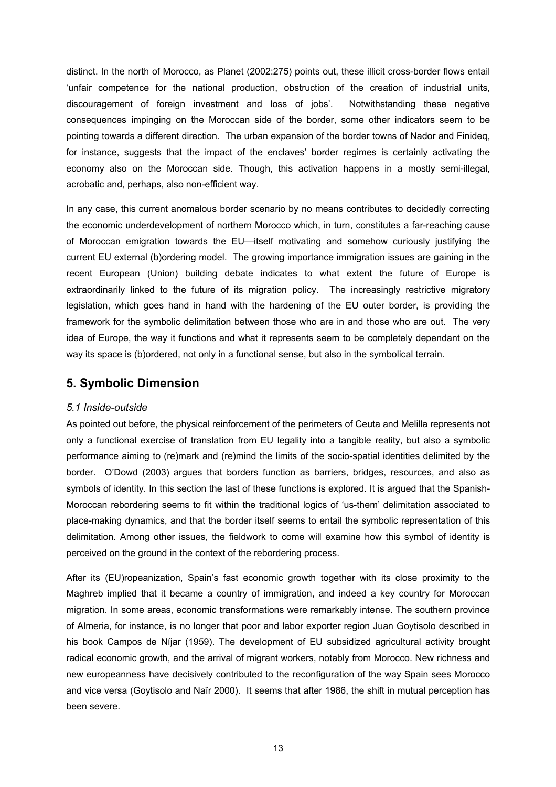distinct. In the north of Morocco, as Planet (2002:275) points out, these illicit cross-border flows entail 'unfair competence for the national production, obstruction of the creation of industrial units, discouragement of foreign investment and loss of jobs'. Notwithstanding these negative consequences impinging on the Moroccan side of the border, some other indicators seem to be pointing towards a different direction. The urban expansion of the border towns of Nador and Finideq, for instance, suggests that the impact of the enclaves' border regimes is certainly activating the economy also on the Moroccan side. Though, this activation happens in a mostly semi-illegal, acrobatic and, perhaps, also non-efficient way.

In any case, this current anomalous border scenario by no means contributes to decidedly correcting the economic underdevelopment of northern Morocco which, in turn, constitutes a far-reaching cause of Moroccan emigration towards the EU—itself motivating and somehow curiously justifying the current EU external (b)ordering model. The growing importance immigration issues are gaining in the recent European (Union) building debate indicates to what extent the future of Europe is extraordinarily linked to the future of its migration policy. The increasingly restrictive migratory legislation, which goes hand in hand with the hardening of the EU outer border, is providing the framework for the symbolic delimitation between those who are in and those who are out. The very idea of Europe, the way it functions and what it represents seem to be completely dependant on the way its space is (b)ordered, not only in a functional sense, but also in the symbolical terrain.

# **5. Symbolic Dimension**

# *5.1 Inside-outside*

As pointed out before, the physical reinforcement of the perimeters of Ceuta and Melilla represents not only a functional exercise of translation from EU legality into a tangible reality, but also a symbolic performance aiming to (re)mark and (re)mind the limits of the socio-spatial identities delimited by the border. O'Dowd (2003) argues that borders function as barriers, bridges, resources, and also as symbols of identity. In this section the last of these functions is explored. It is argued that the Spanish-Moroccan rebordering seems to fit within the traditional logics of 'us-them' delimitation associated to place-making dynamics, and that the border itself seems to entail the symbolic representation of this delimitation. Among other issues, the fieldwork to come will examine how this symbol of identity is perceived on the ground in the context of the rebordering process.

After its (EU)ropeanization, Spain's fast economic growth together with its close proximity to the Maghreb implied that it became a country of immigration, and indeed a key country for Moroccan migration. In some areas, economic transformations were remarkably intense. The southern province of Almeria, for instance, is no longer that poor and labor exporter region Juan Goytisolo described in his book Campos de Níjar (1959). The development of EU subsidized agricultural activity brought radical economic growth, and the arrival of migrant workers, notably from Morocco. New richness and new europeanness have decisively contributed to the reconfiguration of the way Spain sees Morocco and vice versa (Goytisolo and Naïr 2000). It seems that after 1986, the shift in mutual perception has been severe.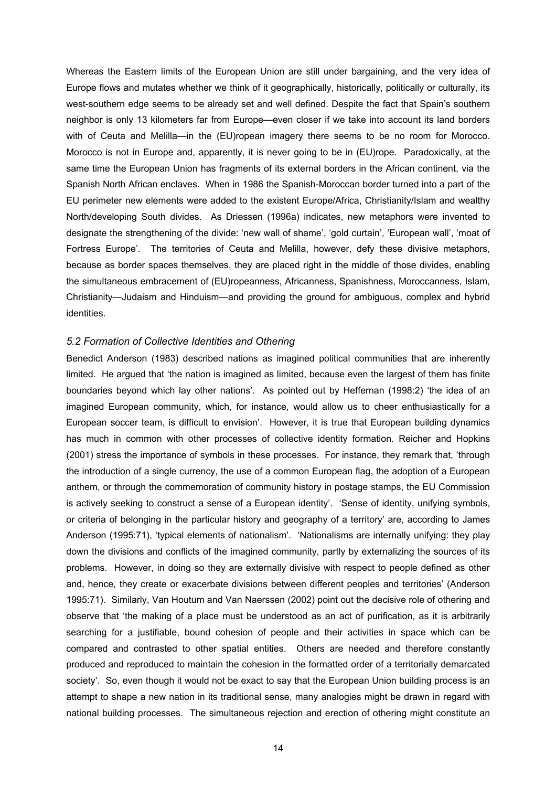Whereas the Eastern limits of the European Union are still under bargaining, and the very idea of Europe flows and mutates whether we think of it geographically, historically, politically or culturally, its west-southern edge seems to be already set and well defined. Despite the fact that Spain's southern neighbor is only 13 kilometers far from Europe—even closer if we take into account its land borders with of Ceuta and Melilla—in the (EU)ropean imagery there seems to be no room for Morocco. Morocco is not in Europe and, apparently, it is never going to be in (EU)rope. Paradoxically, at the same time the European Union has fragments of its external borders in the African continent, via the Spanish North African enclaves. When in 1986 the Spanish-Moroccan border turned into a part of the EU perimeter new elements were added to the existent Europe/Africa, Christianity/Islam and wealthy North/developing South divides. As Driessen (1996a) indicates, new metaphors were invented to designate the strengthening of the divide: 'new wall of shame', 'gold curtain', 'European wall', 'moat of Fortress Europe'. The territories of Ceuta and Melilla, however, defy these divisive metaphors, because as border spaces themselves, they are placed right in the middle of those divides, enabling the simultaneous embracement of (EU)ropeanness, Africanness, Spanishness, Moroccanness, Islam, Christianity—Judaism and Hinduism—and providing the ground for ambiguous, complex and hybrid identities.

#### *5.2 Formation of Collective Identities and Othering*

Benedict Anderson (1983) described nations as imagined political communities that are inherently limited. He argued that 'the nation is imagined as limited, because even the largest of them has finite boundaries beyond which lay other nations'. As pointed out by Heffernan (1998:2) 'the idea of an imagined European community, which, for instance, would allow us to cheer enthusiastically for a European soccer team, is difficult to envision'. However, it is true that European building dynamics has much in common with other processes of collective identity formation. Reicher and Hopkins (2001) stress the importance of symbols in these processes. For instance, they remark that, 'through the introduction of a single currency, the use of a common European flag, the adoption of a European anthem, or through the commemoration of community history in postage stamps, the EU Commission is actively seeking to construct a sense of a European identity'. 'Sense of identity, unifying symbols, or criteria of belonging in the particular history and geography of a territory' are, according to James Anderson (1995:71), 'typical elements of nationalism'. 'Nationalisms are internally unifying: they play down the divisions and conflicts of the imagined community, partly by externalizing the sources of its problems. However, in doing so they are externally divisive with respect to people defined as other and, hence, they create or exacerbate divisions between different peoples and territories' (Anderson 1995:71). Similarly, Van Houtum and Van Naerssen (2002) point out the decisive role of othering and observe that 'the making of a place must be understood as an act of purification, as it is arbitrarily searching for a justifiable, bound cohesion of people and their activities in space which can be compared and contrasted to other spatial entities. Others are needed and therefore constantly produced and reproduced to maintain the cohesion in the formatted order of a territorially demarcated society'. So, even though it would not be exact to say that the European Union building process is an attempt to shape a new nation in its traditional sense, many analogies might be drawn in regard with national building processes. The simultaneous rejection and erection of othering might constitute an

14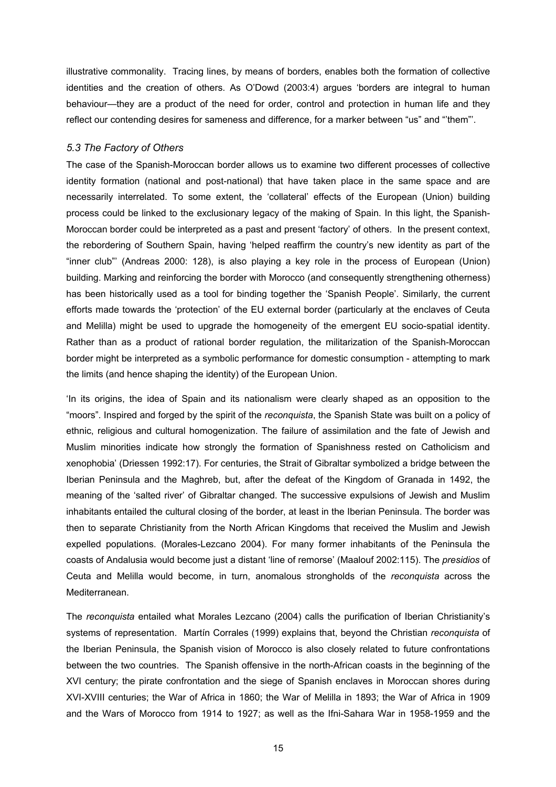illustrative commonality. Tracing lines, by means of borders, enables both the formation of collective identities and the creation of others. As O'Dowd (2003:4) argues 'borders are integral to human behaviour—they are a product of the need for order, control and protection in human life and they reflect our contending desires for sameness and difference, for a marker between "us" and "'them"'.

#### *5.3 The Factory of Others*

The case of the Spanish-Moroccan border allows us to examine two different processes of collective identity formation (national and post-national) that have taken place in the same space and are necessarily interrelated. To some extent, the 'collateral' effects of the European (Union) building process could be linked to the exclusionary legacy of the making of Spain. In this light, the Spanish-Moroccan border could be interpreted as a past and present 'factory' of others. In the present context, the rebordering of Southern Spain, having 'helped reaffirm the country's new identity as part of the "inner club"' (Andreas 2000: 128), is also playing a key role in the process of European (Union) building. Marking and reinforcing the border with Morocco (and consequently strengthening otherness) has been historically used as a tool for binding together the 'Spanish People'. Similarly, the current efforts made towards the 'protection' of the EU external border (particularly at the enclaves of Ceuta and Melilla) might be used to upgrade the homogeneity of the emergent EU socio-spatial identity. Rather than as a product of rational border regulation, the militarization of the Spanish-Moroccan border might be interpreted as a symbolic performance for domestic consumption - attempting to mark the limits (and hence shaping the identity) of the European Union.

'In its origins, the idea of Spain and its nationalism were clearly shaped as an opposition to the "moors". Inspired and forged by the spirit of the *reconquista*, the Spanish State was built on a policy of ethnic, religious and cultural homogenization. The failure of assimilation and the fate of Jewish and Muslim minorities indicate how strongly the formation of Spanishness rested on Catholicism and xenophobia' (Driessen 1992:17). For centuries, the Strait of Gibraltar symbolized a bridge between the Iberian Peninsula and the Maghreb, but, after the defeat of the Kingdom of Granada in 1492, the meaning of the 'salted river' of Gibraltar changed. The successive expulsions of Jewish and Muslim inhabitants entailed the cultural closing of the border, at least in the Iberian Peninsula. The border was then to separate Christianity from the North African Kingdoms that received the Muslim and Jewish expelled populations. (Morales-Lezcano 2004). For many former inhabitants of the Peninsula the coasts of Andalusia would become just a distant 'line of remorse' (Maalouf 2002:115). The *presidios* of Ceuta and Melilla would become, in turn, anomalous strongholds of the *reconquista* across the Mediterranean.

The *reconquista* entailed what Morales Lezcano (2004) calls the purification of Iberian Christianity's systems of representation. Martín Corrales (1999) explains that, beyond the Christian *reconquista* of the Iberian Peninsula, the Spanish vision of Morocco is also closely related to future confrontations between the two countries. The Spanish offensive in the north-African coasts in the beginning of the XVI century; the pirate confrontation and the siege of Spanish enclaves in Moroccan shores during XVI-XVIII centuries; the War of Africa in 1860; the War of Melilla in 1893; the War of Africa in 1909 and the Wars of Morocco from 1914 to 1927; as well as the Ifni-Sahara War in 1958-1959 and the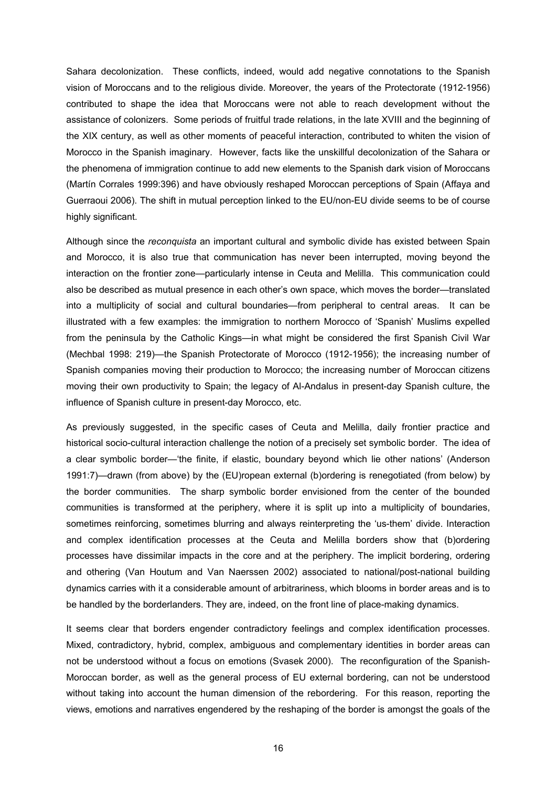Sahara decolonization. These conflicts, indeed, would add negative connotations to the Spanish vision of Moroccans and to the religious divide. Moreover, the years of the Protectorate (1912-1956) contributed to shape the idea that Moroccans were not able to reach development without the assistance of colonizers. Some periods of fruitful trade relations, in the late XVIII and the beginning of the XIX century, as well as other moments of peaceful interaction, contributed to whiten the vision of Morocco in the Spanish imaginary. However, facts like the unskillful decolonization of the Sahara or the phenomena of immigration continue to add new elements to the Spanish dark vision of Moroccans (Martín Corrales 1999:396) and have obviously reshaped Moroccan perceptions of Spain (Affaya and Guerraoui 2006). The shift in mutual perception linked to the EU/non-EU divide seems to be of course highly significant.

Although since the *reconquista* an important cultural and symbolic divide has existed between Spain and Morocco, it is also true that communication has never been interrupted, moving beyond the interaction on the frontier zone—particularly intense in Ceuta and Melilla. This communication could also be described as mutual presence in each other's own space, which moves the border—translated into a multiplicity of social and cultural boundaries—from peripheral to central areas. It can be illustrated with a few examples: the immigration to northern Morocco of 'Spanish' Muslims expelled from the peninsula by the Catholic Kings—in what might be considered the first Spanish Civil War (Mechbal 1998: 219)—the Spanish Protectorate of Morocco (1912-1956); the increasing number of Spanish companies moving their production to Morocco; the increasing number of Moroccan citizens moving their own productivity to Spain; the legacy of Al-Andalus in present-day Spanish culture, the influence of Spanish culture in present-day Morocco, etc.

As previously suggested, in the specific cases of Ceuta and Melilla, daily frontier practice and historical socio-cultural interaction challenge the notion of a precisely set symbolic border. The idea of a clear symbolic border—'the finite, if elastic, boundary beyond which lie other nations' (Anderson 1991:7)—drawn (from above) by the (EU)ropean external (b)ordering is renegotiated (from below) by the border communities. The sharp symbolic border envisioned from the center of the bounded communities is transformed at the periphery, where it is split up into a multiplicity of boundaries, sometimes reinforcing, sometimes blurring and always reinterpreting the 'us-them' divide. Interaction and complex identification processes at the Ceuta and Melilla borders show that (b)ordering processes have dissimilar impacts in the core and at the periphery. The implicit bordering, ordering and othering (Van Houtum and Van Naerssen 2002) associated to national/post-national building dynamics carries with it a considerable amount of arbitrariness, which blooms in border areas and is to be handled by the borderlanders. They are, indeed, on the front line of place-making dynamics.

It seems clear that borders engender contradictory feelings and complex identification processes. Mixed, contradictory, hybrid, complex, ambiguous and complementary identities in border areas can not be understood without a focus on emotions (Svasek 2000). The reconfiguration of the Spanish-Moroccan border, as well as the general process of EU external bordering, can not be understood without taking into account the human dimension of the rebordering. For this reason, reporting the views, emotions and narratives engendered by the reshaping of the border is amongst the goals of the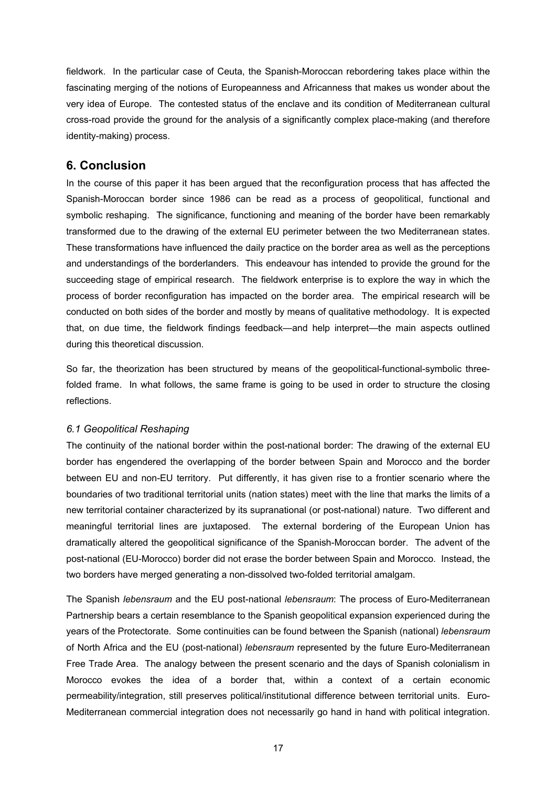fieldwork. In the particular case of Ceuta, the Spanish-Moroccan rebordering takes place within the fascinating merging of the notions of Europeanness and Africanness that makes us wonder about the very idea of Europe. The contested status of the enclave and its condition of Mediterranean cultural cross-road provide the ground for the analysis of a significantly complex place-making (and therefore identity-making) process.

# **6. Conclusion**

In the course of this paper it has been argued that the reconfiguration process that has affected the Spanish-Moroccan border since 1986 can be read as a process of geopolitical, functional and symbolic reshaping. The significance, functioning and meaning of the border have been remarkably transformed due to the drawing of the external EU perimeter between the two Mediterranean states. These transformations have influenced the daily practice on the border area as well as the perceptions and understandings of the borderlanders. This endeavour has intended to provide the ground for the succeeding stage of empirical research. The fieldwork enterprise is to explore the way in which the process of border reconfiguration has impacted on the border area. The empirical research will be conducted on both sides of the border and mostly by means of qualitative methodology. It is expected that, on due time, the fieldwork findings feedback—and help interpret—the main aspects outlined during this theoretical discussion.

So far, the theorization has been structured by means of the geopolitical-functional-symbolic threefolded frame. In what follows, the same frame is going to be used in order to structure the closing reflections.

# *6.1 Geopolitical Reshaping*

The continuity of the national border within the post-national border: The drawing of the external EU border has engendered the overlapping of the border between Spain and Morocco and the border between EU and non-EU territory. Put differently, it has given rise to a frontier scenario where the boundaries of two traditional territorial units (nation states) meet with the line that marks the limits of a new territorial container characterized by its supranational (or post-national) nature. Two different and meaningful territorial lines are juxtaposed. The external bordering of the European Union has dramatically altered the geopolitical significance of the Spanish-Moroccan border. The advent of the post-national (EU-Morocco) border did not erase the border between Spain and Morocco. Instead, the two borders have merged generating a non-dissolved two-folded territorial amalgam.

The Spanish *lebensraum* and the EU post-national *lebensraum*: The process of Euro-Mediterranean Partnership bears a certain resemblance to the Spanish geopolitical expansion experienced during the years of the Protectorate. Some continuities can be found between the Spanish (national) *lebensraum* of North Africa and the EU (post-national) *lebensraum* represented by the future Euro-Mediterranean Free Trade Area. The analogy between the present scenario and the days of Spanish colonialism in Morocco evokes the idea of a border that, within a context of a certain economic permeability/integration, still preserves political/institutional difference between territorial units. Euro-Mediterranean commercial integration does not necessarily go hand in hand with political integration.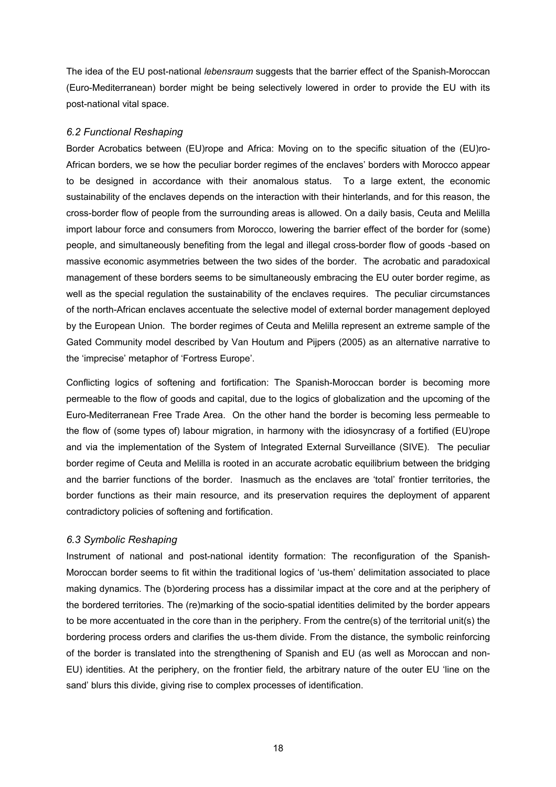The idea of the EU post-national *lebensraum* suggests that the barrier effect of the Spanish-Moroccan (Euro-Mediterranean) border might be being selectively lowered in order to provide the EU with its post-national vital space.

### *6.2 Functional Reshaping*

Border Acrobatics between (EU)rope and Africa: Moving on to the specific situation of the (EU)ro-African borders, we se how the peculiar border regimes of the enclaves' borders with Morocco appear to be designed in accordance with their anomalous status. To a large extent, the economic sustainability of the enclaves depends on the interaction with their hinterlands, and for this reason, the cross-border flow of people from the surrounding areas is allowed. On a daily basis, Ceuta and Melilla import labour force and consumers from Morocco, lowering the barrier effect of the border for (some) people, and simultaneously benefiting from the legal and illegal cross-border flow of goods -based on massive economic asymmetries between the two sides of the border. The acrobatic and paradoxical management of these borders seems to be simultaneously embracing the EU outer border regime, as well as the special regulation the sustainability of the enclaves requires. The peculiar circumstances of the north-African enclaves accentuate the selective model of external border management deployed by the European Union. The border regimes of Ceuta and Melilla represent an extreme sample of the Gated Community model described by Van Houtum and Pijpers (2005) as an alternative narrative to the 'imprecise' metaphor of 'Fortress Europe'.

Conflicting logics of softening and fortification: The Spanish-Moroccan border is becoming more permeable to the flow of goods and capital, due to the logics of globalization and the upcoming of the Euro-Mediterranean Free Trade Area. On the other hand the border is becoming less permeable to the flow of (some types of) labour migration, in harmony with the idiosyncrasy of a fortified (EU)rope and via the implementation of the System of Integrated External Surveillance (SIVE). The peculiar border regime of Ceuta and Melilla is rooted in an accurate acrobatic equilibrium between the bridging and the barrier functions of the border. Inasmuch as the enclaves are 'total' frontier territories, the border functions as their main resource, and its preservation requires the deployment of apparent contradictory policies of softening and fortification.

# *6.3 Symbolic Reshaping*

Instrument of national and post-national identity formation: The reconfiguration of the Spanish-Moroccan border seems to fit within the traditional logics of 'us-them' delimitation associated to place making dynamics. The (b)ordering process has a dissimilar impact at the core and at the periphery of the bordered territories. The (re)marking of the socio-spatial identities delimited by the border appears to be more accentuated in the core than in the periphery. From the centre(s) of the territorial unit(s) the bordering process orders and clarifies the us-them divide. From the distance, the symbolic reinforcing of the border is translated into the strengthening of Spanish and EU (as well as Moroccan and non-EU) identities. At the periphery, on the frontier field, the arbitrary nature of the outer EU 'line on the sand' blurs this divide, giving rise to complex processes of identification.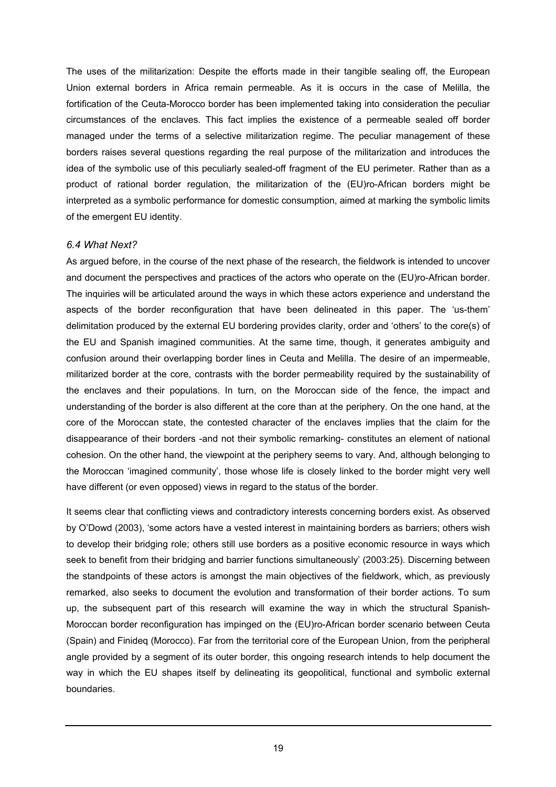The uses of the militarization: Despite the efforts made in their tangible sealing off, the European Union external borders in Africa remain permeable. As it is occurs in the case of Melilla, the fortification of the Ceuta-Morocco border has been implemented taking into consideration the peculiar circumstances of the enclaves. This fact implies the existence of a permeable sealed off border managed under the terms of a selective militarization regime. The peculiar management of these borders raises several questions regarding the real purpose of the militarization and introduces the idea of the symbolic use of this peculiarly sealed-off fragment of the EU perimeter. Rather than as a product of rational border regulation, the militarization of the (EU)ro-African borders might be interpreted as a symbolic performance for domestic consumption, aimed at marking the symbolic limits of the emergent EU identity.

#### *6.4 What Next?*

As argued before, in the course of the next phase of the research, the fieldwork is intended to uncover and document the perspectives and practices of the actors who operate on the (EU)ro-African border. The inquiries will be articulated around the ways in which these actors experience and understand the aspects of the border reconfiguration that have been delineated in this paper. The 'us-them' delimitation produced by the external EU bordering provides clarity, order and 'others' to the core(s) of the EU and Spanish imagined communities. At the same time, though, it generates ambiguity and confusion around their overlapping border lines in Ceuta and Melilla. The desire of an impermeable, militarized border at the core, contrasts with the border permeability required by the sustainability of the enclaves and their populations. In turn, on the Moroccan side of the fence, the impact and understanding of the border is also different at the core than at the periphery. On the one hand, at the core of the Moroccan state, the contested character of the enclaves implies that the claim for the disappearance of their borders -and not their symbolic remarking- constitutes an element of national cohesion. On the other hand, the viewpoint at the periphery seems to vary. And, although belonging to the Moroccan 'imagined community', those whose life is closely linked to the border might very well have different (or even opposed) views in regard to the status of the border.

It seems clear that conflicting views and contradictory interests concerning borders exist. As observed by O'Dowd (2003), 'some actors have a vested interest in maintaining borders as barriers; others wish to develop their bridging role; others still use borders as a positive economic resource in ways which seek to benefit from their bridging and barrier functions simultaneously' (2003:25). Discerning between the standpoints of these actors is amongst the main objectives of the fieldwork, which, as previously remarked, also seeks to document the evolution and transformation of their border actions. To sum up, the subsequent part of this research will examine the way in which the structural Spanish-Moroccan border reconfiguration has impinged on the (EU)ro-African border scenario between Ceuta (Spain) and Finideq (Morocco). Far from the territorial core of the European Union, from the peripheral angle provided by a segment of its outer border, this ongoing research intends to help document the way in which the EU shapes itself by delineating its geopolitical, functional and symbolic external boundaries.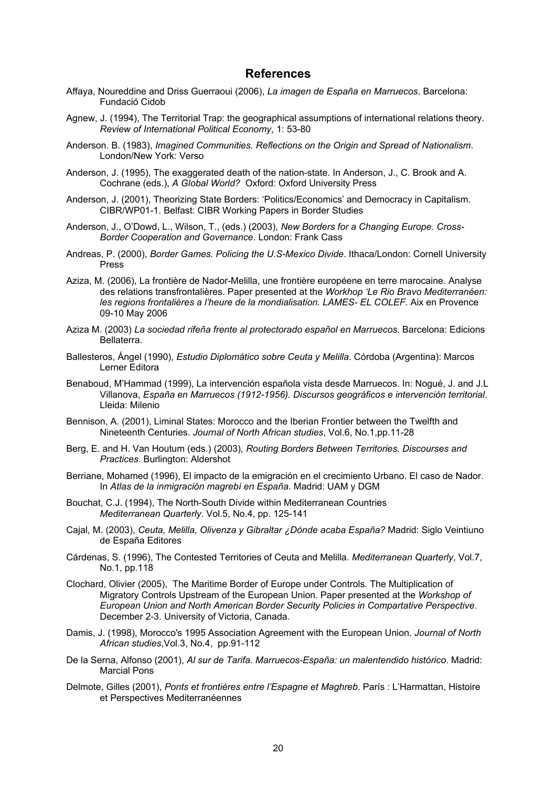### **References**

- Affaya, Noureddine and Driss Guerraoui (2006), *La imagen de España en Marruecos*. Barcelona: Fundació Cidob
- Agnew, J. (1994), The Territorial Trap: the geographical assumptions of international relations theory. *Review of International Political Economy*, 1: 53-80
- Anderson. B. (1983), *Imagined Communities. Reflections on the Origin and Spread of Nationalism*. London/New York: Verso
- Anderson, J. (1995), The exaggerated death of the nation-state. In Anderson, J., C. Brook and A. Cochrane (eds.), *A Global World?* Oxford: Oxford University Press
- Anderson, J. (2001), Theorizing State Borders: 'Politics/Economics' and Democracy in Capitalism. CIBR/WP01-1. Belfast: CIBR Working Papers in Border Studies
- Anderson, J., O'Dowd, L., Wilson, T., (eds.) (2003), *New Borders for a Changing Europe. Cross-Border Cooperation and Governance*. London: Frank Cass
- Andreas, P. (2000), *Border Games. Policing the U.S-Mexico Divide*. Ithaca/London: Cornell University Press
- Aziza, M. (2006), La frontière de Nador-Melilla, une frontière européene en terre marocaine. Analyse des relations transfrontalières. Paper presented at the *Workhop 'Le Rio Bravo Mediterranéen: les regions frontalières a l'heure de la mondialisation. LAMES- EL COLEF*. Aix en Provence 09-10 May 2006
- Aziza M. (2003) *La sociedad rifeña frente al protectorado español en Marruecos*. Barcelona: Edicions Bellaterra.
- Ballesteros, Ángel (1990), *Estudio Diplomático sobre Ceuta y Melilla*. Córdoba (Argentina): Marcos Lerner Editora
- Benaboud, M'Hammad (1999), La intervención española vista desde Marruecos. In: Nogué, J. and J.L Villanova, *España en Marruecos (1912-1956). Discursos geográficos e intervención territorial*. Lleida: Milenio
- Bennison, A. (2001), Liminal States: Morocco and the Iberian Frontier between the Twelfth and Nineteenth Centuries. *Journal of North African studies*, Vol.6, No.1,pp.11-28
- Berg, E. and H. Van Houtum (eds.) (2003), *Routing Borders Between Territories, Discourses and Practices*. Burlington: Aldershot
- Berriane, Mohamed (1996), El impacto de la emigración en el crecimiento Urbano. El caso de Nador. In *Atlas de la inmigración magrebí en España*. Madrid: UAM y DGM
- Bouchat, C.J. (1994), The North-South Divide within Mediterranean Countries *Mediterranean Quarterly*. Vol.5, No.4, pp. 125-141
- Cajal, M. (2003), *Ceuta, Melilla, Olivenza y Gibraltar ¿Dónde acaba España?* Madrid: Siglo Veintiuno de España Editores
- Cárdenas, S. (1996), The Contested Territories of Ceuta and Melilla. *Mediterranean Quarterly*, Vol.7, No.1, pp.118
- Clochard, Olivier (2005), The Maritime Border of Europe under Controls. The Multiplication of Migratory Controls Upstream of the European Union. Paper presented at the *Workshop of European Union and North American Border Security Policies in Compartative Perspective*. December 2-3. University of Victoria, Canada.
- Damis, J. (1998), Morocco's 1995 Association Agreement with the European Union. *Journal of North African studies*,Vol.3, No.4, pp.91-112
- De la Serna, Alfonso (2001), *Al sur de Tarifa. Marruecos-España: un malentendido histórico*. Madrid: Marcial Pons
- Delmote, Gilles (2001), *Ponts et frontières entre l'Espagne et Maghreb*. París : L'Harmattan, Histoire et Perspectives Mediterranéennes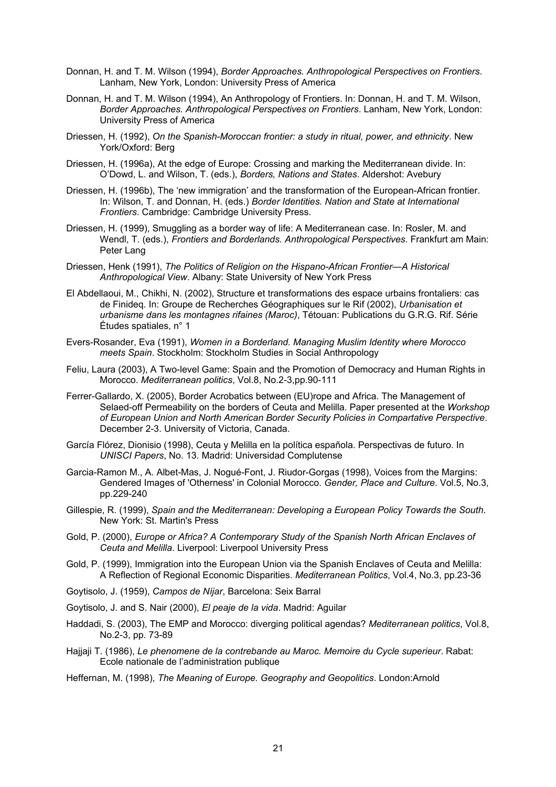- Donnan, H. and T. M. Wilson (1994), *Border Approaches. Anthropological Perspectives on Frontiers*. Lanham, New York, London: University Press of America
- Donnan, H. and T. M. Wilson (1994), An Anthropology of Frontiers. In: Donnan, H. and T. M. Wilson, *Border Approaches. Anthropological Perspectives on Frontiers*. Lanham, New York, London: University Press of America
- Driessen, H. (1992), *On the Spanish-Moroccan frontier: a study in ritual, power, and ethnicity*. New York/Oxford: Berg
- Driessen, H. (1996a), At the edge of Europe: Crossing and marking the Mediterranean divide. In: O'Dowd, L. and Wilson, T. (eds.), *Borders, Nations and States*. Aldershot: Avebury
- Driessen, H. (1996b), The 'new immigration' and the transformation of the European-African frontier. In: Wilson, T. and Donnan, H. (eds.) *Border Identities. Nation and State at International Frontiers*. Cambridge: Cambridge University Press.
- Driessen, H. (1999), Smuggling as a border way of life: A Mediterranean case. In: Rosler, M. and Wendl, T. (eds.), *Frontiers and Borderlands. Anthropological Perspectives*. Frankfurt am Main: Peter Lang
- Driessen, Henk (1991), *The Politics of Religion on the Hispano-African Frontier—A Historical Anthropological View*. Albany: State University of New York Press
- El Abdellaoui, M., Chikhi, N. (2002), Structure et transformations des espace urbains frontaliers: cas de Finideq. In: Groupe de Recherches Géographiques sur le Rif (2002), *Urbanisation et urbanisme dans les montagnes rifaines (Maroc)*, Tétouan: Publications du G.R.G. Rif. Série Études spatiales, n° 1
- Evers-Rosander, Eva (1991), *Women in a Borderland. Managing Muslim Identity where Morocco meets Spain*. Stockholm: Stockholm Studies in Social Anthropology
- Feliu, Laura (2003), A Two-level Game: Spain and the Promotion of Democracy and Human Rights in Morocco. *Mediterranean politics*, Vol.8, No.2-3,pp.90-111
- Ferrer-Gallardo, X. (2005), Border Acrobatics between (EU)rope and Africa. The Management of Selaed-off Permeability on the borders of Ceuta and Melilla. Paper presented at the *Workshop of European Union and North American Border Security Policies in Compartative Perspective*. December 2-3. University of Victoria, Canada.
- García Flórez, Dionisio (1998), Ceuta y Melilla en la política española. Perspectivas de futuro. In *UNISCI Papers*, No. 13. Madrid: Universidad Complutense
- Garcia-Ramon M., A. Albet-Mas, J. Nogué-Font, J. Riudor-Gorgas (1998), Voices from the Margins: Gendered Images of 'Otherness' in Colonial Morocco. *Gender, Place and Culture*. Vol.5, No.3, pp.229-240
- Gillespie, R. (1999), *Spain and the Mediterranean: Developing a European Policy Towards the South*. New York: St. Martin's Press
- Gold, P. (2000), *Europe or Africa? A Contemporary Study of the Spanish North African Enclaves of Ceuta and Melilla*. Liverpool: Liverpool University Press
- Gold, P. (1999), Immigration into the European Union via the Spanish Enclaves of Ceuta and Melilla: A Reflection of Regional Economic Disparities. *Mediterranean Politics*, Vol.4, No.3, pp.23-36
- Goytisolo, J. (1959), *Campos de Níjar*, Barcelona: Seix Barral
- Goytisolo, J. and S. Nair (2000), *El peaje de la vida*. Madrid: Aguilar
- Haddadi, S. (2003), The EMP and Morocco: diverging political agendas? *Mediterranean politics*, Vol.8, No.2-3, pp. 73-89
- Hajjaji T. (1986), *Le phenomene de la contrebande au Maroc. Memoire du Cycle superieur*. Rabat: Ecole nationale de l'administration publique
- Heffernan, M. (1998), *The Meaning of Europe. Geography and Geopolitics*. London:Arnold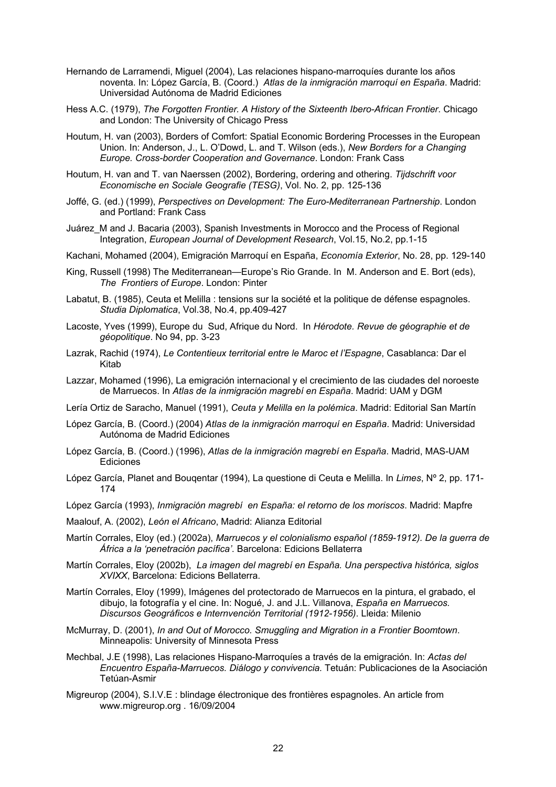- Hernando de Larramendi, Miguel (2004), Las relaciones hispano-marroquíes durante los años noventa. In: López García, B. (Coord.) *Atlas de la inmigración marroquí en España*. Madrid: Universidad Autónoma de Madrid Ediciones
- Hess A.C. (1979), *The Forgotten Frontier. A History of the Sixteenth Ibero-African Frontier*. Chicago and London: The University of Chicago Press
- Houtum, H. van (2003), Borders of Comfort: Spatial Economic Bordering Processes in the European Union. In: Anderson, J., L. O'Dowd, L. and T. Wilson (eds.), *New Borders for a Changing Europe. Cross-border Cooperation and Governance*. London: Frank Cass
- Houtum, H. van and T. van Naerssen (2002), Bordering, ordering and othering. *Tijdschrift voor Economische en Sociale Geografie (TESG)*, Vol. No. 2, pp. 125-136
- Joffé, G. (ed.) (1999), *Perspectives on Development: The Euro-Mediterranean Partnership*. London and Portland: Frank Cass
- Juárez\_M and J. Bacaria (2003), Spanish Investments in Morocco and the Process of Regional Integration, *European Journal of Development Research*, Vol.15, No.2, pp.1-15
- Kachani, Mohamed (2004), Emigración Marroquí en España, *Economía Exterior*, No. 28, pp. 129-140
- King, Russell (1998) The Mediterranean—Europe's Rio Grande. In M. Anderson and E. Bort (eds), *The Frontiers of Europe*. London: Pinter
- Labatut, B. (1985), Ceuta et Melilla : tensions sur la société et la politique de défense espagnoles. *Studia Diplomatica*, Vol.38, No.4, pp.409-427
- Lacoste, Yves (1999), Europe du Sud, Afrique du Nord. In *Hérodote. Revue de géographie et de géopolitique*. No 94, pp. 3-23
- Lazrak, Rachid (1974), *Le Contentieux territorial entre le Maroc et l'Espagne*, Casablanca: Dar el Kitab
- Lazzar, Mohamed (1996), La emigración internacional y el crecimiento de las ciudades del noroeste de Marruecos. In *Atlas de la inmigración magrebí en España*. Madrid: UAM y DGM
- Lería Ortiz de Saracho, Manuel (1991), *Ceuta y Melilla en la polémica*. Madrid: Editorial San Martín
- López García, B. (Coord.) (2004) *Atlas de la inmigración marroquí en España*. Madrid: Universidad Autónoma de Madrid Ediciones
- López García, B. (Coord.) (1996), *Atlas de la inmigración magrebí en España*. Madrid, MAS-UAM Ediciones
- López García, Planet and Bouqentar (1994), La questione di Ceuta e Melilla. In *Limes*, Nº 2, pp. 171- 174
- López García (1993), *Inmigración magrebí en España: el retorno de los moriscos*. Madrid: Mapfre
- Maalouf, A. (2002), *León el Africano*, Madrid: Alianza Editorial
- Martín Corrales, Eloy (ed.) (2002a), *Marruecos y el colonialismo español (1859-1912). De la guerra de África a la 'penetración pacífica'*. Barcelona: Edicions Bellaterra
- Martín Corrales, Eloy (2002b), *La imagen del magrebí en España. Una perspectiva histórica, siglos XVIXX*, Barcelona: Edicions Bellaterra.
- Martín Corrales, Eloy (1999), Imágenes del protectorado de Marruecos en la pintura, el grabado, el dibujo, la fotografía y el cine. In: Nogué, J. and J.L. Villanova, *España en Marruecos. Discursos Geográficos e Internvención Territorial (1912-1956)*. Lleida: Milenio
- McMurray, D. (2001), *In and Out of Morocco. Smuggling and Migration in a Frontier Boomtown*. Minneapolis: University of Minnesota Press
- Mechbal, J.E (1998), Las relaciones Hispano-Marroquíes a través de la emigración. In: *Actas del Encuentro España-Marruecos. Diálogo y convivencia.* Tetuán: Publicaciones de la Asociación Tetúan-Asmir
- Migreurop (2004), S.I.V.E : blindage électronique des frontières espagnoles. An article from [www.migreurop.org](http://www.migreurop.org/) . 16/09/2004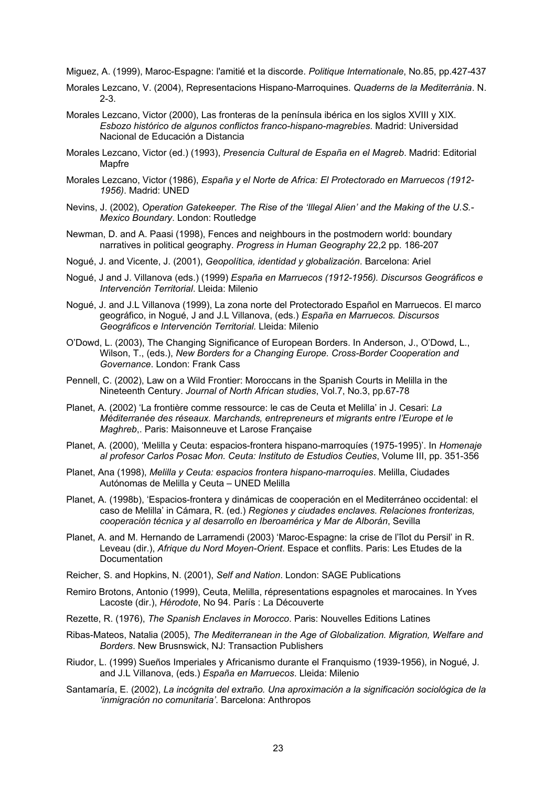Miguez, A. (1999), Maroc-Espagne: l'amitié et la discorde. *Politique Internationale*, No.85, pp.427-437

- Morales Lezcano, V. (2004), Representacions Hispano-Marroquines. *Quaderns de la Mediterrània*. N. 2-3.
- Morales Lezcano, Victor (2000), Las fronteras de la península ibérica en los siglos XVIII y XIX. *Esbozo histórico de algunos conflictos franco-hispano-magrebíes*. Madrid: Universidad Nacional de Educación a Distancia
- Morales Lezcano, Victor (ed.) (1993), *Presencia Cultural de España en el Magreb*. Madrid: Editorial Mapfre
- Morales Lezcano, Victor (1986), *España y el Norte de Africa: El Protectorado en Marruecos (1912- 1956)*. Madrid: UNED
- Nevins, J. (2002), *Operation Gatekeeper. The Rise of the 'Illegal Alien' and the Making of the U.S.- Mexico Boundary*. London: Routledge
- Newman, D. and A. Paasi (1998), Fences and neighbours in the postmodern world: boundary narratives in political geography. *Progress in Human Geography* 22,2 pp. 186-207
- Nogué, J. and Vicente, J. (2001), *Geopolítica, identidad y globalización*. Barcelona: Ariel
- Nogué, J and J. Villanova (eds.) (1999) *España en Marruecos (1912-1956). Discursos Geográficos e Intervención Territorial*. Lleida: Milenio
- Nogué, J. and J.L Villanova (1999), La zona norte del Protectorado Español en Marruecos. El marco geográfico, in Nogué, J and J.L Villanova, (eds.) *España en Marruecos. Discursos Geográficos e Intervención Territorial.* Lleida: Milenio
- O'Dowd, L. (2003), The Changing Significance of European Borders. In Anderson, J., O'Dowd, L., Wilson, T., (eds.), *New Borders for a Changing Europe. Cross-Border Cooperation and Governance*. London: Frank Cass
- Pennell, C. (2002), Law on a Wild Frontier: Moroccans in the Spanish Courts in Melilla in the Nineteenth Century. *Journal of North African studies*, Vol.7, No.3, pp.67-78
- Planet, A. (2002) 'La frontière comme ressource: le cas de Ceuta et Melilla' in J. Cesari: *La Méditerranée des réseaux. Marchands, entrepreneurs et migrants entre l'Europe et le Maghreb*,. Paris: Maisonneuve et Larose Française
- Planet, A. (2000), 'Melilla y Ceuta: espacios-frontera hispano-marroquíes (1975-1995)'. In *Homenaje al profesor Carlos Posac Mon. Ceuta: Instituto de Estudios Ceuties*, Volume III, pp. 351-356
- Planet, Ana (1998), *Melilla y Ceuta: espacios frontera hispano-marroquíes*. Melilla, Ciudades Autónomas de Melilla y Ceuta – UNED Melilla
- Planet, A. (1998b), 'Espacios-frontera y dinámicas de cooperación en el Mediterráneo occidental: el caso de Melilla' in Cámara, R. (ed.) *Regiones y ciudades enclaves. Relaciones fronterizas, cooperación técnica y al desarrollo en Iberoamérica y Mar de Alborán*, Sevilla
- Planet, A. and M. Hernando de Larramendi (2003) 'Maroc-Espagne: la crise de l'îlot du Persil' in R. Leveau (dir.), *Afrique du Nord Moyen-Orient*. Espace et conflits. Paris: Les Etudes de la Documentation
- Reicher, S. and Hopkins, N. (2001), *Self and Nation*. London: SAGE Publications
- Remiro Brotons, Antonio (1999), Ceuta, Melilla, répresentations espagnoles et marocaines. In Yves Lacoste (dir.), *Hérodote*, No 94. París : La Découverte
- Rezette, R. (1976), *The Spanish Enclaves in Morocco*. Paris: Nouvelles Editions Latines
- Ribas-Mateos, Natalia (2005), *The Mediterranean in the Age of Globalization. Migration, Welfare and Borders*. New Brusnswick, NJ: Transaction Publishers
- Riudor, L. (1999) Sueños Imperiales y Africanismo durante el Franquismo (1939-1956), in Nogué, J. and J.L Villanova, (eds.) *España en Marruecos*. Lleida: Milenio
- Santamaría, E. (2002), *La incógnita del extraño. Una aproximación a la significación sociológica de la 'inmigración no comunitaria'*. Barcelona: Anthropos